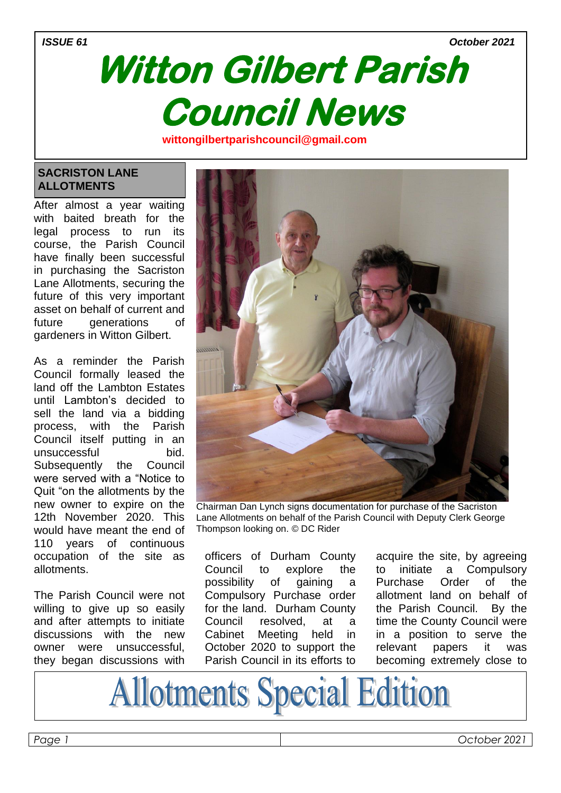#### *ISSUE 61 October 2021*

# **Witton Gilbert Parish Council News wittongilbertparishcouncil@gmail.com**

#### **SACRISTON LANE ALLOTMENTS**

After almost a year waiting with baited breath for the legal process to run its course, the Parish Council have finally been successful in purchasing the Sacriston Lane Allotments, securing the future of this very important asset on behalf of current and future generations of gardeners in Witton Gilbert.

**om**

As a reminder the Parish Council formally leased the land off the Lambton Estates until Lambton's decided to sell the land via a bidding process, with the Parish Council itself putting in an unsuccessful bid. Subsequently the Council were served with a "Notice to Quit "on the allotments by the new owner to expire on the 12th November 2020. This would have meant the end of 110 years of continuous occupation of the site as allotments.

The Parish Council were not willing to give up so easily and after attempts to initiate discussions with the new owner were unsuccessful, they began discussions with



Chairman Dan Lynch signs documentation for purchase of the Sacriston Lane Allotments on behalf of the Parish Council with Deputy Clerk George Thompson looking on. © DC Rider

officers of Durham County Council to explore the possibility of gaining a Compulsory Purchase order for the land. Durham County Council resolved, at a Cabinet Meeting held in October 2020 to support the Parish Council in its efforts to

acquire the site, by agreeing to initiate a Compulsory Purchase Order of the allotment land on behalf of the Parish Council. By the time the County Council were in a position to serve the relevant papers it was becoming extremely close to

**Allotments Special Edition**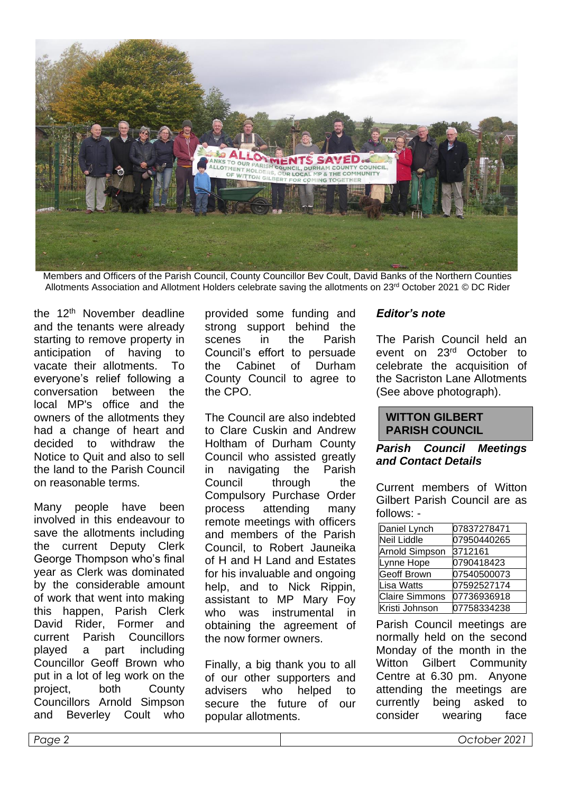

Members and Officers of the Parish Council, County Councillor Bev Coult, David Banks of the Northern Counties Allotments Association and Allotment Holders celebrate saving the allotments on 23rd October 2021 © DC Rider

the 12th November deadline and the tenants were already starting to remove property in anticipation of having to vacate their allotments. To everyone's relief following a conversation between the local MP's office and the owners of the allotments they had a change of heart and decided to withdraw the Notice to Quit and also to sell the land to the Parish Council on reasonable terms.

Many people have been involved in this endeavour to save the allotments including the current Deputy Clerk George Thompson who's final year as Clerk was dominated by the considerable amount of work that went into making this happen, Parish Clerk David Rider, Former and current Parish Councillors played a part including Councillor Geoff Brown who put in a lot of leg work on the project, both County Councillors Arnold Simpson and Beverley Coult who provided some funding and strong support behind the scenes in the Parish Council's effort to persuade the Cabinet of Durham County Council to agree to the CPO.

The Council are also indebted to Clare Cuskin and Andrew Holtham of Durham County Council who assisted greatly in navigating the Parish Council through the Compulsory Purchase Order process attending many remote meetings with officers and members of the Parish Council, to Robert Jauneika of H and H Land and Estates for his invaluable and ongoing help, and to Nick Rippin, assistant to MP Mary Foy who was instrumental in obtaining the agreement of the now former owners.

Finally, a big thank you to all of our other supporters and advisers who helped to secure the future of our popular allotments.

### *Editor's note*

The Parish Council held an event on 23rd October to celebrate the acquisition of the Sacriston Lane Allotments (See above photograph).

#### **WITTON GILBERT PARISH COUNCIL**

#### *Parish Council Meetings and Contact Details*

Current members of Witton Gilbert Parish Council are as follows: -

| Daniel Lynch          | 07837278471 |
|-----------------------|-------------|
| <b>Neil Liddle</b>    | 07950440265 |
| <b>Arnold Simpson</b> | 3712161     |
| Lynne Hope            | 0790418423  |
| <b>Geoff Brown</b>    | 07540500073 |
| Lisa Watts            | 07592527174 |
| <b>Claire Simmons</b> | 07736936918 |
| Kristi Johnson        | 07758334238 |

Parish Council meetings are normally held on the second Monday of the month in the Witton Gilbert Community Centre at 6.30 pm. Anyone attending the meetings are currently being asked to consider wearing face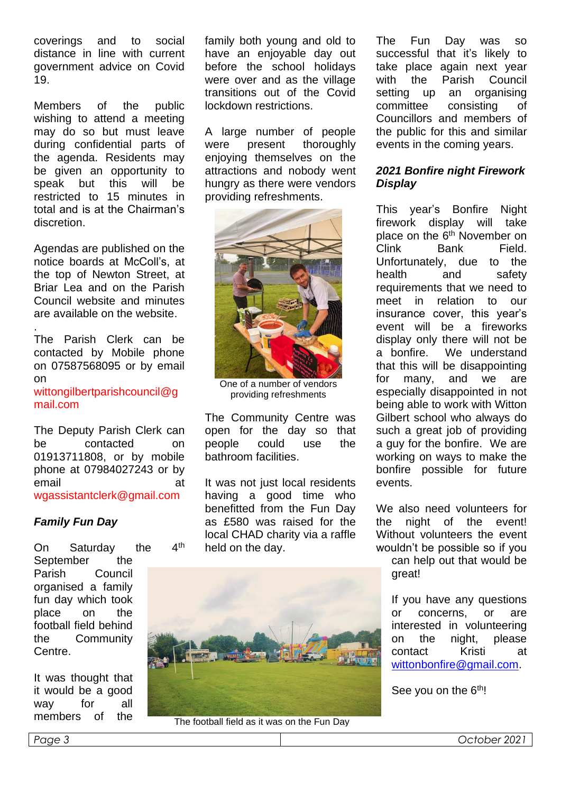coverings and to social distance in line with current government advice on Covid 19.

Members of the public wishing to attend a meeting may do so but must leave during confidential parts of the agenda. Residents may be given an opportunity to speak but this will be restricted to 15 minutes in total and is at the Chairman's discretion.

Agendas are published on the notice boards at McColl's, at the top of Newton Street, at Briar Lea and on the Parish Council website and minutes are available on the website.

. The Parish Clerk can be contacted by Mobile phone on 07587568095 or by email on wittongilbertparishcouncil@g mail.com

The Deputy Parish Clerk can be contacted on 01913711808, or by mobile phone at 07984027243 or by email at wgassistantclerk@gmail.com

# *Family Fun Day*

On Saturday the 4<sup>th</sup> September the Parish Council organised a family fun day which took place on the football field behind the Community Centre.

It was thought that it would be a good way for all members of the

family both young and old to have an enjoyable day out before the school holidays were over and as the village transitions out of the Covid lockdown restrictions.

A large number of people were present thoroughly enjoying themselves on the attractions and nobody went hungry as there were vendors providing refreshments.



One of a number of vendors providing refreshments

The Community Centre was open for the day so that people could use the bathroom facilities.

It was not just local residents having a good time who benefitted from the Fun Day as £580 was raised for the local CHAD charity via a raffle held on the day.



The football field as it was on the Fun Day

The Fun Day was so successful that it's likely to take place again next year with the Parish Council setting up an organising committee consisting of Councillors and members of the public for this and similar events in the coming years.

### *2021 Bonfire night Firework Display*

This year's Bonfire Night firework display will take place on the 6<sup>th</sup> November on Clink Bank Field. Unfortunately, due to the health and safety requirements that we need to meet in relation to our insurance cover, this year's event will be a fireworks display only there will not be a bonfire. We understand that this will be disappointing for many, and we are especially disappointed in not being able to work with Witton Gilbert school who always do such a great job of providing a guy for the bonfire. We are working on ways to make the bonfire possible for future events.

We also need volunteers for the night of the event! Without volunteers the event wouldn't be possible so if you

can help out that would be great!

If you have any questions or concerns, or are interested in volunteering on the night, please contact Kristi at [wittonbonfire@gmail.com.](mailto:wittonbonfire@gmail.com)

See you on the 6<sup>th</sup>!